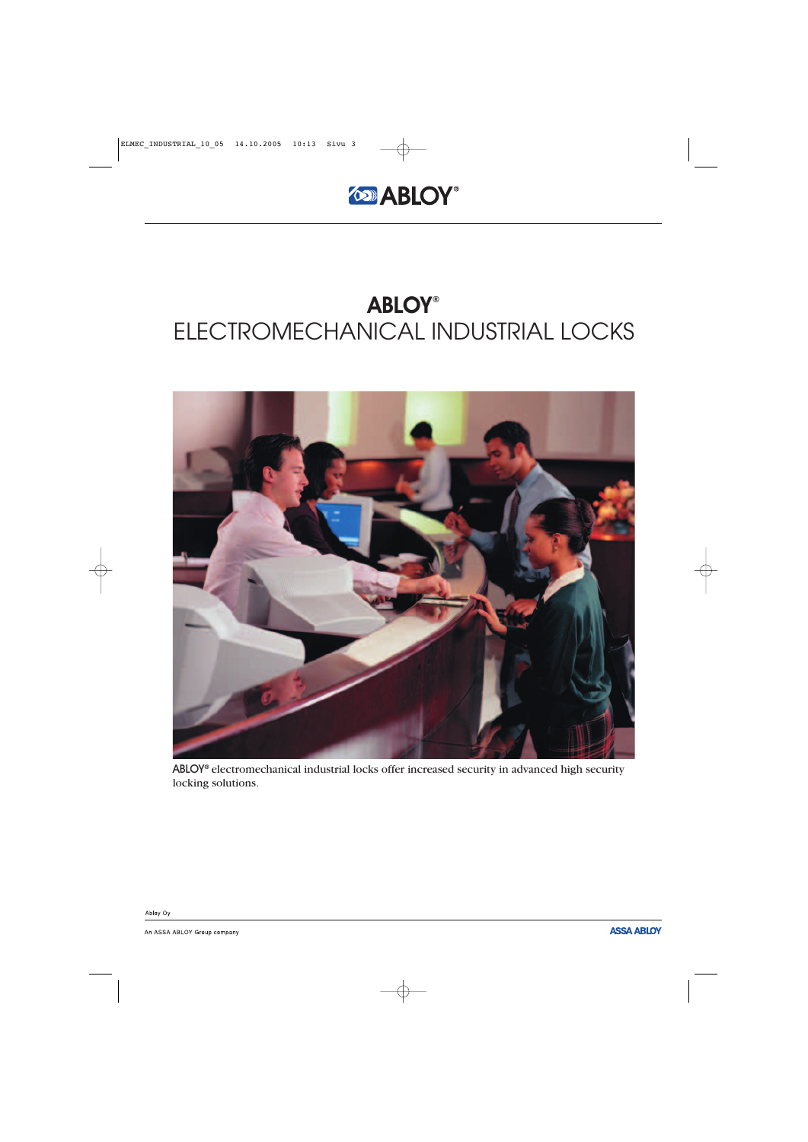



ABLOY**®** electromechanical industrial locks offer increased security in advanced high security locking solutions.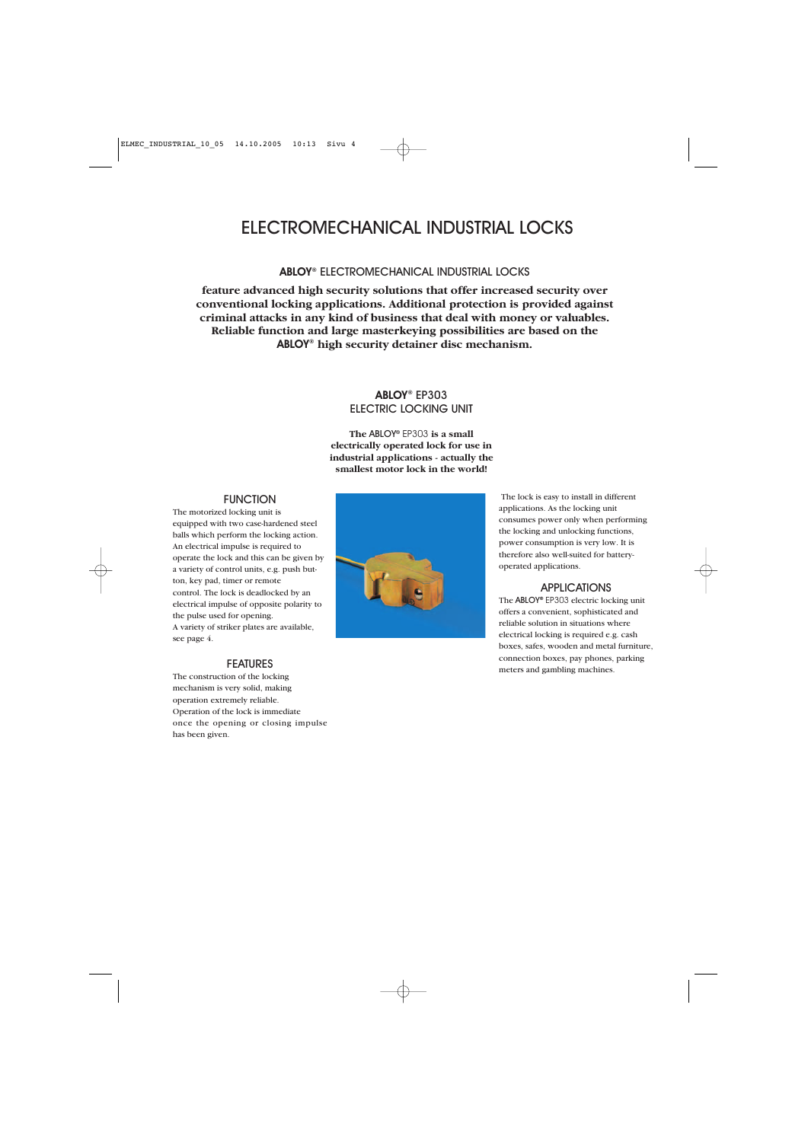ABLOY**®** ELECTROMECHANICAL INDUSTRIAL LOCKS

**feature advanced high security solutions that offer increased security over conventional locking applications. Additional protection is provided against criminal attacks in any kind of business that deal with money or valuables. Reliable function and large masterkeying possibilities are based on the** ABLOY**® high security detainer disc mechanism.**

### ABLOY**®** EP303 ELECTRIC LOCKING UNIT

**The** ABLOY**®** EP303 **is a small electrically operated lock for use in industrial applications - actually the smallest motor lock in the world!**

### **FUNCTION**

The motorized locking unit is equipped with two case-hardened steel balls which perform the locking action. An electrical impulse is required to operate the lock and this can be given by a variety of control units, e.g. push button, key pad, timer or remote control. The lock is deadlocked by an electrical impulse of opposite polarity to the pulse used for opening. A variety of striker plates are available, see page 4.

### FEATURES

The construction of the locking mechanism is very solid, making operation extremely reliable. Operation of the lock is immediate once the opening or closing impulse has been given.



The lock is easy to install in different applications. As the locking unit consumes power only when performing the locking and unlocking functions, power consumption is very low. It is therefore also well-suited for batteryoperated applications.

### APPLICATIONS

The ABLOY**®** EP303 electric locking unit offers a convenient, sophisticated and reliable solution in situations where electrical locking is required e.g. cash boxes, safes, wooden and metal furniture, connection boxes, pay phones, parking meters and gambling machines.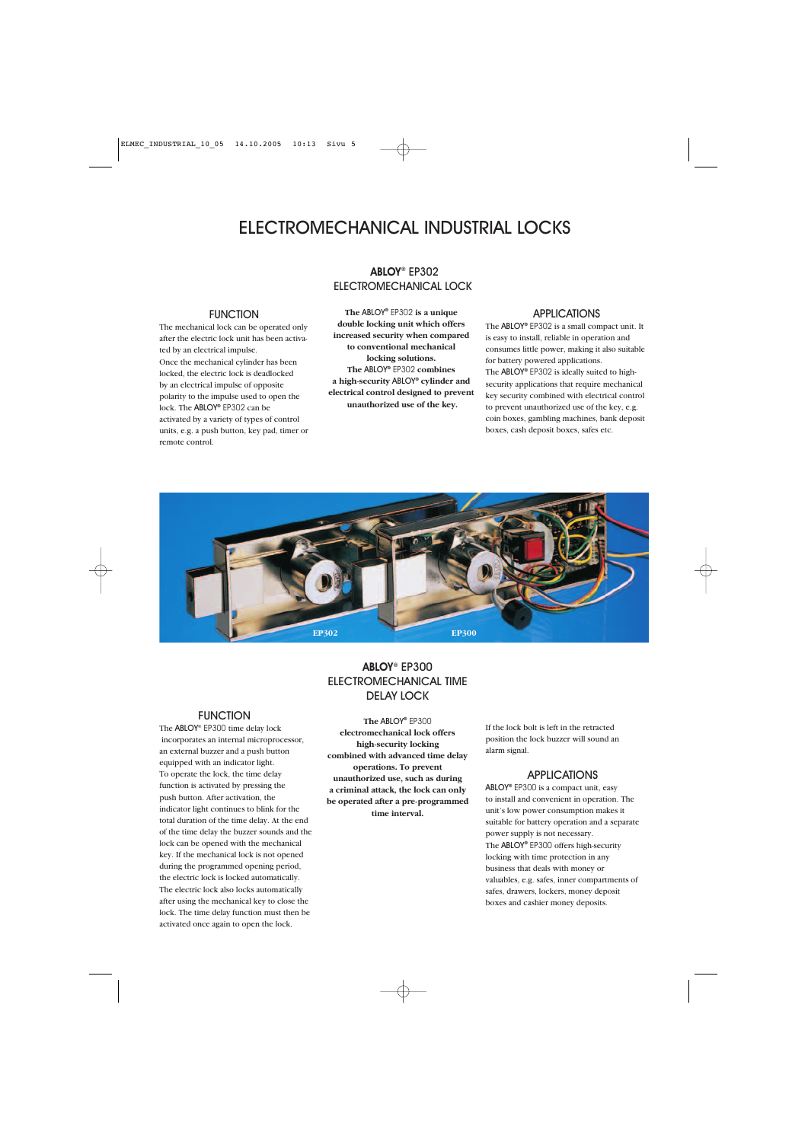### ABLOY**®** EP302 ELECTROMECHANICAL LOCK

### **FUNCTION**

The mechanical lock can be operated only after the electric lock unit has been activated by an electrical impulse. Once the mechanical cylinder has been locked, the electric lock is deadlocked by an electrical impulse of opposite polarity to the impulse used to open the lock. The ABLOY**®** EP302 can be activated by a variety of types of control units, e.g. a push button, key pad, timer or remote control.

### **The** ABLOY**®** EP302 **is a unique double locking unit which offers increased security when compared to conventional mechanical locking solutions. The** ABLOY**®** EP302 **combines a high-security** ABLOY**® cylinder and electrical control designed to prevent unauthorized use of the key.**

### APPLICATIONS

The ABLOY**®** EP302 is a small compact unit. It is easy to install, reliable in operation and consumes little power, making it also suitable for battery powered applications. The ABLOY**®** EP302 is ideally suited to highsecurity applications that require mechanical key security combined with electrical control to prevent unauthorized use of the key, e.g. coin boxes, gambling machines, bank deposit boxes, cash deposit boxes, safes etc.



### ABLOY**®** EP300 ELECTROMECHANICAL TIME DELAY LOCK

### **FUNCTION**

The ABLOY® EP300 time delay lock incorporates an internal microprocessor, an external buzzer and a push button equipped with an indicator light. To operate the lock, the time delay function is activated by pressing the push button. After activation, the indicator light continues to blink for the total duration of the time delay. At the end of the time delay the buzzer sounds and the lock can be opened with the mechanical key. If the mechanical lock is not opened during the programmed opening period, the electric lock is locked automatically. The electric lock also locks automatically after using the mechanical key to close the lock. The time delay function must then be activated once again to open the lock.

**The** ABLOY**®** EP300 **electromechanical lock offers high-security locking combined with advanced time delay operations. To prevent unauthorized use, such as during a criminal attack, the lock can only be operated after a pre-programmed time interval.**

If the lock bolt is left in the retracted position the lock buzzer will sound an alarm signal.

### APPLICATIONS

ABLOY**®** EP300 is a compact unit, easy to install and convenient in operation. The unit's low power consumption makes it suitable for battery operation and a separate power supply is not necessary. The ABLOY**®** EP300 offers high-security locking with time protection in any business that deals with money or valuables, e.g. safes, inner compartments of safes, drawers, lockers, money deposit boxes and cashier money deposits.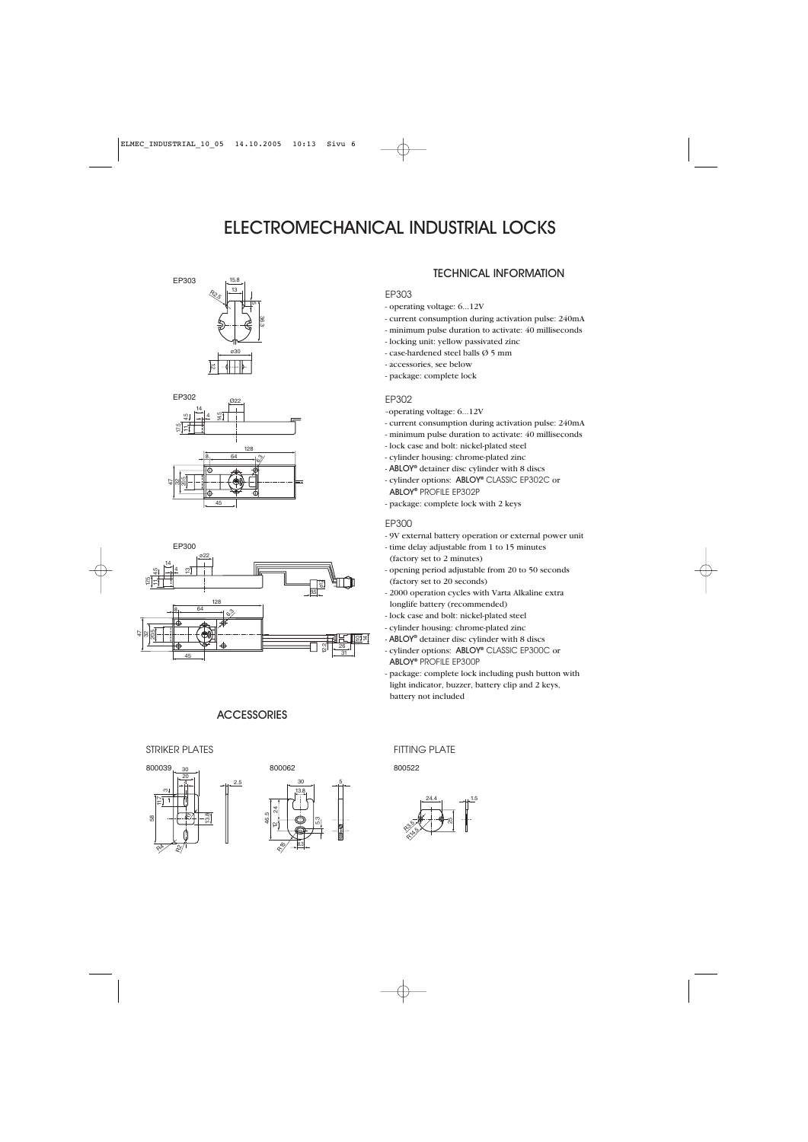





### **ACCESSORIES**

2.5





### TECHNICAL INFORMATION

### EP303

- operating voltage: 6...12V
- current consumption during activation pulse: 240mA
- minimum pulse duration to activate: 40 milliseconds
- locking unit: yellow passivated zinc
- case-hardened steel balls Ø 5 mm
- accessories, see below
- package: complete lock

### EP302

- -operating voltage: 6...12V
- current consumption during activation pulse: 240mA
- minimum pulse duration to activate: 40 milliseconds
- lock case and bolt: nickel-plated steel
- cylinder housing: chrome-plated zinc
- ABLOY**®** detainer disc cylinder with 8 discs
- cylinder options: ABLOY**®** CLASSIC EP302C or ABLOY**®** PROFILE EP302P
- package: complete lock with 2 keys

#### EP300

- 9V external battery operation or external power unit
- time delay adjustable from 1 to 15 minutes (factory set to 2 minutes)
- opening period adjustable from 20 to 50 seconds (factory set to 20 seconds)
- 2000 operation cycles with Varta Alkaline extra longlife battery (recommended)
- lock case and bolt: nickel-plated steel
- cylinder housing: chrome-plated zinc
- ABLOY**®** detainer disc cylinder with 8 discs
- cylinder options: ABLOY**®** CLASSIC EP300C or ABLOY**®** PROFILE EP300P
- package: complete lock including push button with light indicator, buzzer, battery clip and 2 keys, battery not included

#### STRIKER PLATES FITTING PLATE

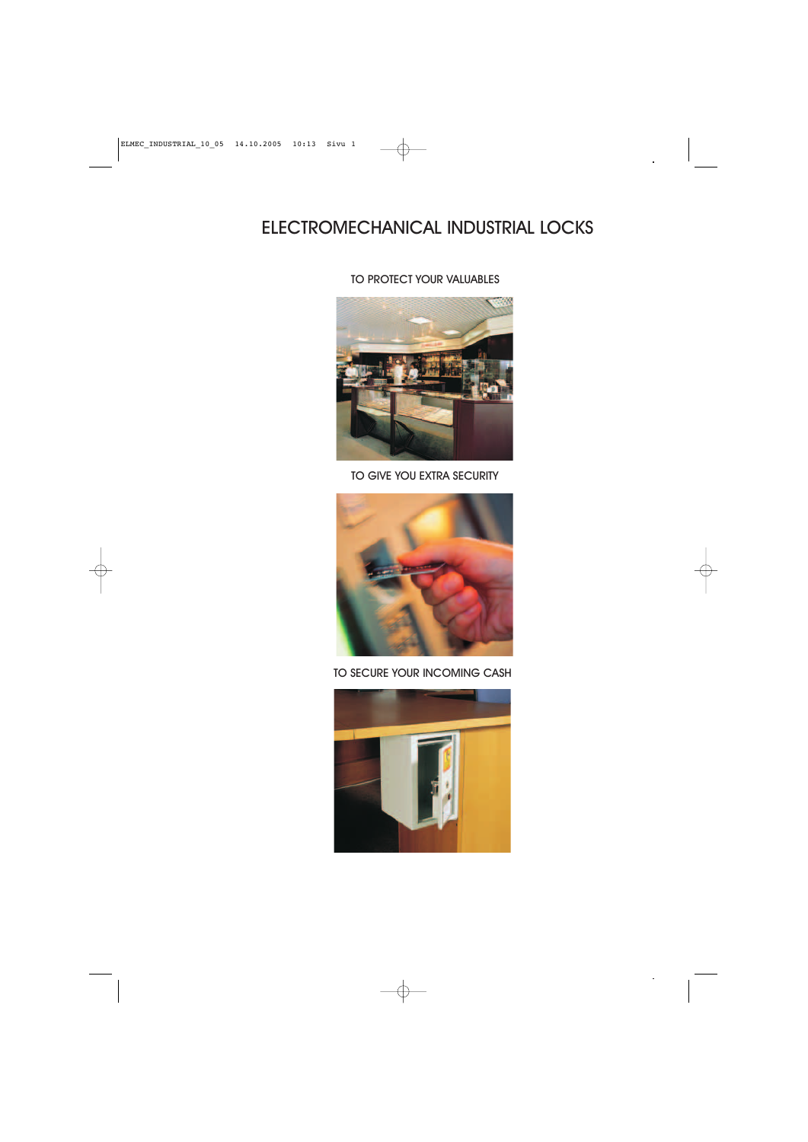### TO PROTECT YOUR VALUABLES



### TO GIVE YOU EXTRA SECURITY



### TO SECURE YOUR INCOMING CASH